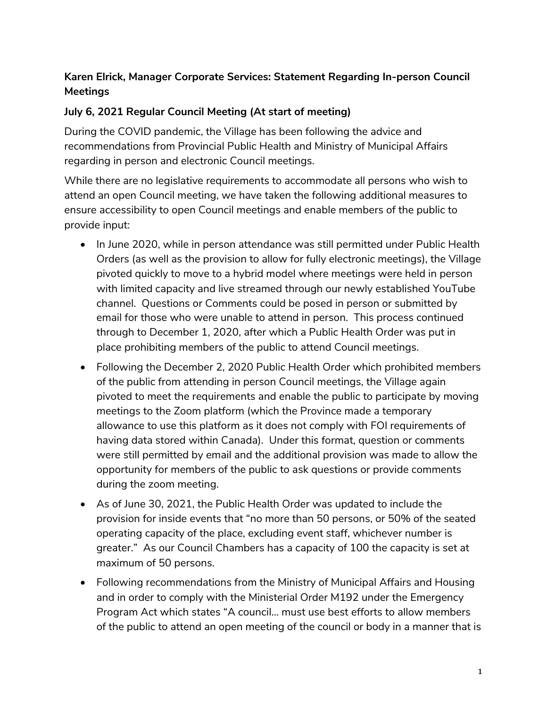## **Karen Elrick, Manager Corporate Services: Statement Regarding In-person Council Meetings**

## **July 6, 2021 Regular Council Meeting (At start of meeting)**

During the COVID pandemic, the Village has been following the advice and recommendations from Provincial Public Health and Ministry of Municipal Affairs regarding in person and electronic Council meetings.

While there are no legislative requirements to accommodate all persons who wish to attend an open Council meeting, we have taken the following additional measures to ensure accessibility to open Council meetings and enable members of the public to provide input:

- In June 2020, while in person attendance was still permitted under Public Health Orders (as well as the provision to allow for fully electronic meetings), the Village pivoted quickly to move to a hybrid model where meetings were held in person with limited capacity and live streamed through our newly established YouTube channel. Questions or Comments could be posed in person or submitted by email for those who were unable to attend in person. This process continued through to December 1, 2020, after which a Public Health Order was put in place prohibiting members of the public to attend Council meetings.
- Following the December 2, 2020 Public Health Order which prohibited members of the public from attending in person Council meetings, the Village again pivoted to meet the requirements and enable the public to participate by moving meetings to the Zoom platform (which the Province made a temporary allowance to use this platform as it does not comply with FOI requirements of having data stored within Canada). Under this format, question or comments were still permitted by email and the additional provision was made to allow the opportunity for members of the public to ask questions or provide comments during the zoom meeting.
- As of June 30, 2021, the Public Health Order was updated to include the provision for inside events that "no more than 50 persons, or 50% of the seated operating capacity of the place, excluding event staff, whichever number is greater." As our Council Chambers has a capacity of 100 the capacity is set at maximum of 50 persons.
- Following recommendations from the Ministry of Municipal Affairs and Housing and in order to comply with the Ministerial Order M192 under the Emergency Program Act which states "A council… must use best efforts to allow members of the public to attend an open meeting of the council or body in a manner that is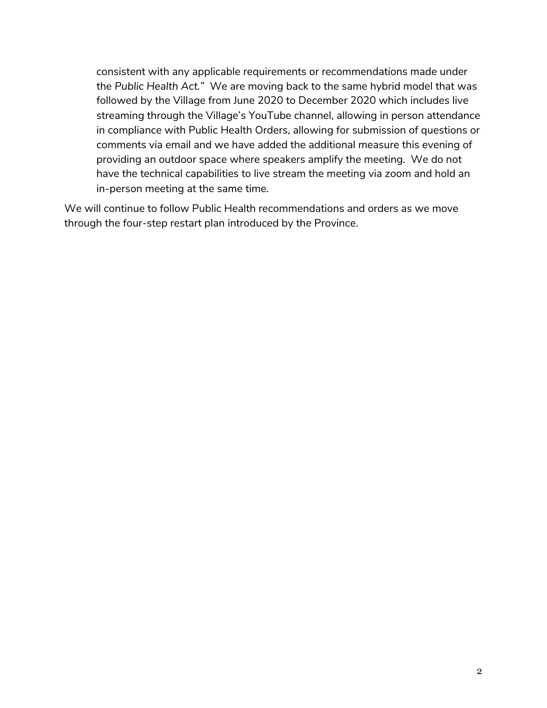consistent with any applicable requirements or recommendations made under the *Public Health Act."* We are moving back to the same hybrid model that was followed by the Village from June 2020 to December 2020 which includes live streaming through the Village's YouTube channel, allowing in person attendance in compliance with Public Health Orders, allowing for submission of questions or comments via email and we have added the additional measure this evening of providing an outdoor space where speakers amplify the meeting. We do not have the technical capabilities to live stream the meeting via zoom and hold an in-person meeting at the same time.

We will continue to follow Public Health recommendations and orders as we move through the four-step restart plan introduced by the Province.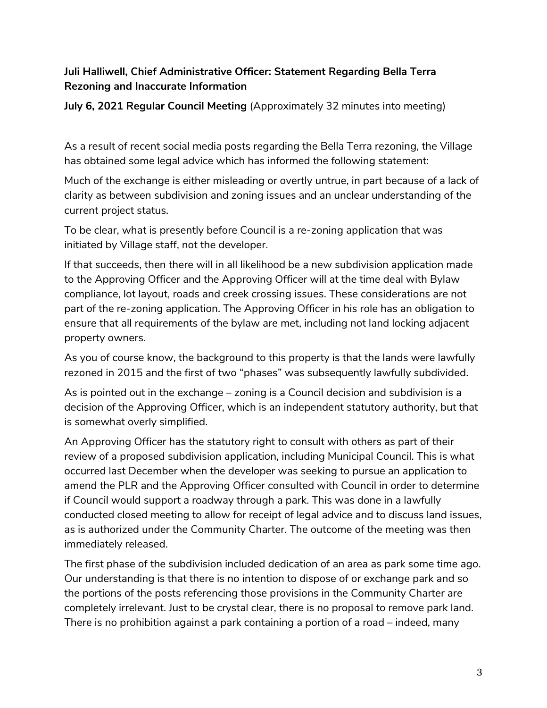## **Juli Halliwell, Chief Administrative Officer: Statement Regarding Bella Terra Rezoning and Inaccurate Information**

**July 6, 2021 Regular Council Meeting** (Approximately 32 minutes into meeting)

As a result of recent social media posts regarding the Bella Terra rezoning, the Village has obtained some legal advice which has informed the following statement:

Much of the exchange is either misleading or overtly untrue, in part because of a lack of clarity as between subdivision and zoning issues and an unclear understanding of the current project status.

To be clear, what is presently before Council is a re-zoning application that was initiated by Village staff, not the developer.

If that succeeds, then there will in all likelihood be a new subdivision application made to the Approving Officer and the Approving Officer will at the time deal with Bylaw compliance, lot layout, roads and creek crossing issues. These considerations are not part of the re-zoning application. The Approving Officer in his role has an obligation to ensure that all requirements of the bylaw are met, including not land locking adjacent property owners.

As you of course know, the background to this property is that the lands were lawfully rezoned in 2015 and the first of two "phases" was subsequently lawfully subdivided.

As is pointed out in the exchange – zoning is a Council decision and subdivision is a decision of the Approving Officer, which is an independent statutory authority, but that is somewhat overly simplified.

An Approving Officer has the statutory right to consult with others as part of their review of a proposed subdivision application, including Municipal Council. This is what occurred last December when the developer was seeking to pursue an application to amend the PLR and the Approving Officer consulted with Council in order to determine if Council would support a roadway through a park. This was done in a lawfully conducted closed meeting to allow for receipt of legal advice and to discuss land issues, as is authorized under the Community Charter. The outcome of the meeting was then immediately released.

The first phase of the subdivision included dedication of an area as park some time ago. Our understanding is that there is no intention to dispose of or exchange park and so the portions of the posts referencing those provisions in the Community Charter are completely irrelevant. Just to be crystal clear, there is no proposal to remove park land. There is no prohibition against a park containing a portion of a road – indeed, many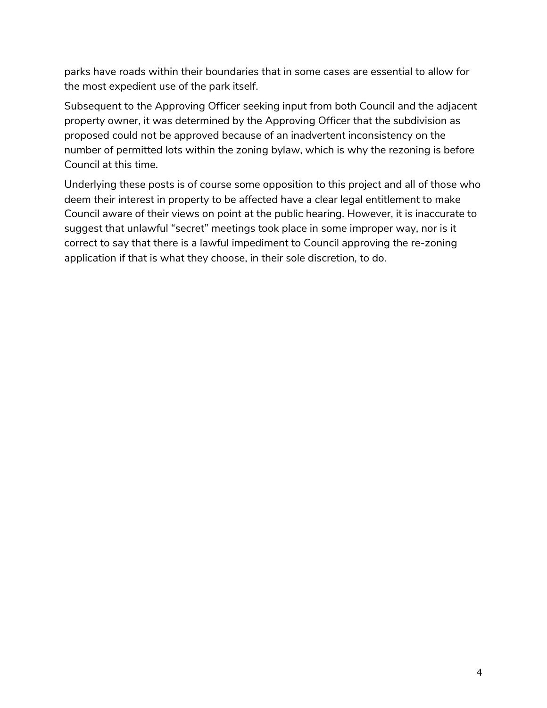parks have roads within their boundaries that in some cases are essential to allow for the most expedient use of the park itself.

Subsequent to the Approving Officer seeking input from both Council and the adjacent property owner, it was determined by the Approving Officer that the subdivision as proposed could not be approved because of an inadvertent inconsistency on the number of permitted lots within the zoning bylaw, which is why the rezoning is before Council at this time.

Underlying these posts is of course some opposition to this project and all of those who deem their interest in property to be affected have a clear legal entitlement to make Council aware of their views on point at the public hearing. However, it is inaccurate to suggest that unlawful "secret" meetings took place in some improper way, nor is it correct to say that there is a lawful impediment to Council approving the re-zoning application if that is what they choose, in their sole discretion, to do.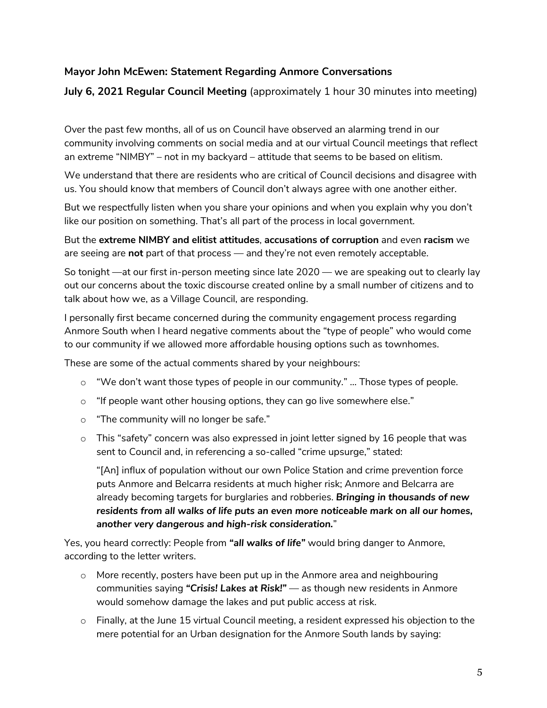## **Mayor John McEwen: Statement Regarding Anmore Conversations**

**July 6, 2021 Regular Council Meeting** (approximately 1 hour 30 minutes into meeting)

Over the past few months, all of us on Council have observed an alarming trend in our community involving comments on social media and at our virtual Council meetings that reflect an extreme "NIMBY" – not in my backyard – attitude that seems to be based on elitism.

We understand that there are residents who are critical of Council decisions and disagree with us. You should know that members of Council don't always agree with one another either.

But we respectfully listen when you share your opinions and when you explain why you don't like our position on something. That's all part of the process in local government.

But the **extreme NIMBY and elitist attitudes**, **accusations of corruption** and even **racism** we are seeing are **not** part of that process — and they're not even remotely acceptable.

So tonight —at our first in-person meeting since late 2020 — we are speaking out to clearly lay out our concerns about the toxic discourse created online by a small number of citizens and to talk about how we, as a Village Council, are responding.

I personally first became concerned during the community engagement process regarding Anmore South when I heard negative comments about the "type of people" who would come to our community if we allowed more affordable housing options such as townhomes.

These are some of the actual comments shared by your neighbours:

- $\circ$  "We don't want those types of people in our community." ... Those types of people.
- $\circ$  "If people want other housing options, they can go live somewhere else."
- o "The community will no longer be safe."
- $\circ$  This "safety" concern was also expressed in joint letter signed by 16 people that was sent to Council and, in referencing a so-called "crime upsurge," stated:

"[An] influx of population without our own Police Station and crime prevention force puts Anmore and Belcarra residents at much higher risk; Anmore and Belcarra are already becoming targets for burglaries and robberies. *Bringing in thousands of new residents from all walks of life puts an even more noticeable mark on all our homes, another very dangerous and high-risk consideration.*"

Yes, you heard correctly: People from *"all walks of life"* would bring danger to Anmore, according to the letter writers.

- o More recently, posters have been put up in the Anmore area and neighbouring communities saying *"Crisis! Lakes at Risk!"* — as though new residents in Anmore would somehow damage the lakes and put public access at risk.
- o Finally, at the June 15 virtual Council meeting, a resident expressed his objection to the mere potential for an Urban designation for the Anmore South lands by saying: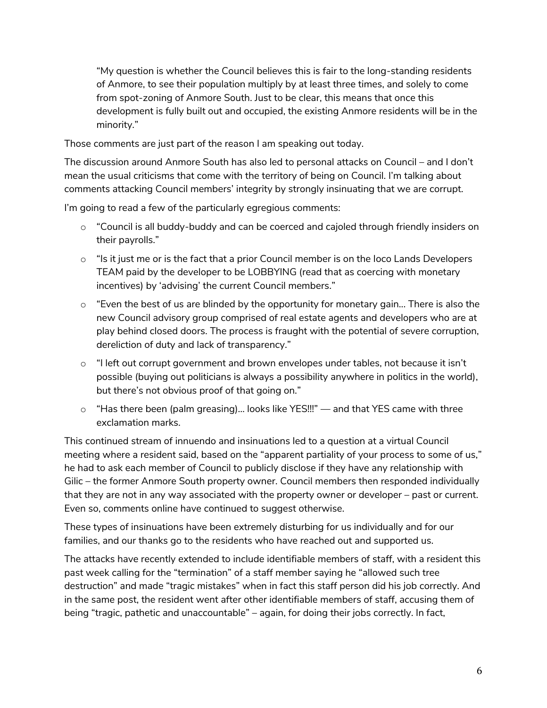"My question is whether the Council believes this is fair to the long-standing residents of Anmore, to see their population multiply by at least three times, and solely to come from spot-zoning of Anmore South. Just to be clear, this means that once this development is fully built out and occupied, the existing Anmore residents will be in the minority."

Those comments are just part of the reason I am speaking out today.

The discussion around Anmore South has also led to personal attacks on Council – and I don't mean the usual criticisms that come with the territory of being on Council. I'm talking about comments attacking Council members' integrity by strongly insinuating that we are corrupt.

I'm going to read a few of the particularly egregious comments:

- $\circ$  "Council is all buddy-buddy and can be coerced and cajoled through friendly insiders on their payrolls."
- $\circ$  "Is it just me or is the fact that a prior Council member is on the loco Lands Developers TEAM paid by the developer to be LOBBYING (read that as coercing with monetary incentives) by 'advising' the current Council members."
- $\circ$  "Even the best of us are blinded by the opportunity for monetary gain... There is also the new Council advisory group comprised of real estate agents and developers who are at play behind closed doors. The process is fraught with the potential of severe corruption, dereliction of duty and lack of transparency."
- $\circ$  "I left out corrupt government and brown envelopes under tables, not because it isn't possible (buying out politicians is always a possibility anywhere in politics in the world), but there's not obvious proof of that going on."
- $\circ$  "Has there been (palm greasing)... looks like YES!!!" and that YES came with three exclamation marks.

This continued stream of innuendo and insinuations led to a question at a virtual Council meeting where a resident said, based on the "apparent partiality of your process to some of us," he had to ask each member of Council to publicly disclose if they have any relationship with Gilic – the former Anmore South property owner. Council members then responded individually that they are not in any way associated with the property owner or developer – past or current. Even so, comments online have continued to suggest otherwise.

These types of insinuations have been extremely disturbing for us individually and for our families, and our thanks go to the residents who have reached out and supported us.

The attacks have recently extended to include identifiable members of staff, with a resident this past week calling for the "termination" of a staff member saying he "allowed such tree destruction" and made "tragic mistakes" when in fact this staff person did his job correctly. And in the same post, the resident went after other identifiable members of staff, accusing them of being "tragic, pathetic and unaccountable" – again, for doing their jobs correctly. In fact,